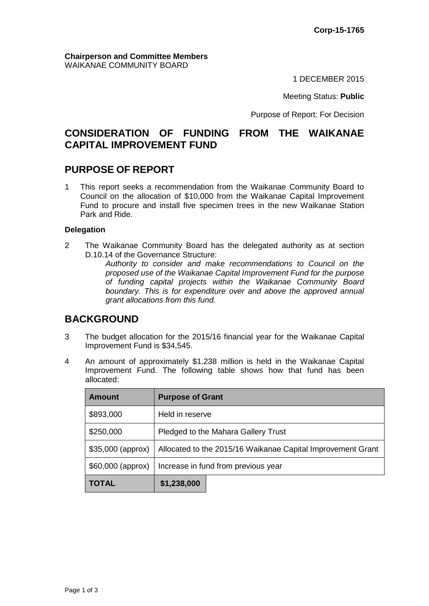#### **Chairperson and Committee Members** WAIKANAE COMMUNITY BOARD

1 DECEMBER 2015

Meeting Status: **Public**

Purpose of Report: For Decision

# **CONSIDERATION OF FUNDING FROM THE WAIKANAE CAPITAL IMPROVEMENT FUND**

### **PURPOSE OF REPORT**

1 This report seeks a recommendation from the Waikanae Community Board to Council on the allocation of \$10,000 from the Waikanae Capital Improvement Fund to procure and install five specimen trees in the new Waikanae Station Park and Ride.

#### **Delegation**

2 The Waikanae Community Board has the delegated authority as at section D.10.14 of the Governance Structure:

*Authority to consider and make recommendations to Council on the proposed use of the Waikanae Capital Improvement Fund for the purpose of funding capital projects within the Waikanae Community Board boundary. This is for expenditure over and above the approved annual grant allocations from this fund.*

## **BACKGROUND**

- 3 The budget allocation for the 2015/16 financial year for the Waikanae Capital Improvement Fund is \$34,545.
- 4 An amount of approximately \$1.238 million is held in the Waikanae Capital Improvement Fund. The following table shows how that fund has been allocated:

| <b>Amount</b>      | <b>Purpose of Grant</b>                                     |  |  |
|--------------------|-------------------------------------------------------------|--|--|
| \$893,000          | Held in reserve                                             |  |  |
| \$250,000          | Pledged to the Mahara Gallery Trust                         |  |  |
| $$35,000$ (approx) | Allocated to the 2015/16 Waikanae Capital Improvement Grant |  |  |
| \$60,000 (approx)  | Increase in fund from previous year                         |  |  |
| <b>TOTAL</b>       | \$1,238,000                                                 |  |  |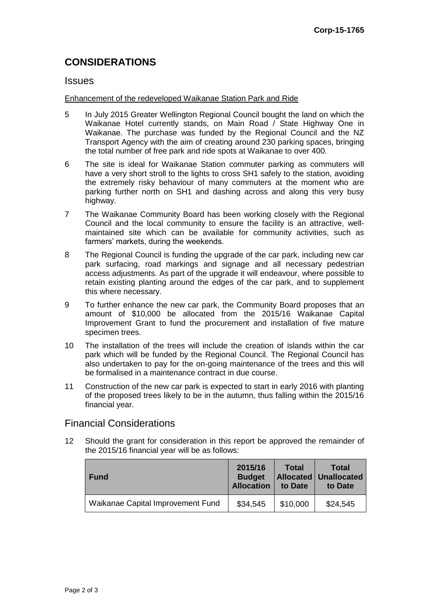# **CONSIDERATIONS**

#### Issues

#### Enhancement of the redeveloped Waikanae Station Park and Ride

- 5 In July 2015 Greater Wellington Regional Council bought the land on which the Waikanae Hotel currently stands, on Main Road / State Highway One in Waikanae. The purchase was funded by the Regional Council and the NZ Transport Agency with the aim of creating around 230 parking spaces, bringing the total number of free park and ride spots at Waikanae to over 400.
- 6 The site is ideal for Waikanae Station commuter parking as commuters will have a very short stroll to the lights to cross SH1 safely to the station, avoiding the extremely risky behaviour of many commuters at the moment who are parking further north on SH1 and dashing across and along this very busy highway.
- 7 The Waikanae Community Board has been working closely with the Regional Council and the local community to ensure the facility is an attractive, wellmaintained site which can be available for community activities, such as farmers' markets, during the weekends.
- 8 The Regional Council is funding the upgrade of the car park, including new car park surfacing, road markings and signage and all necessary pedestrian access adjustments. As part of the upgrade it will endeavour, where possible to retain existing planting around the edges of the car park, and to supplement this where necessary.
- 9 To further enhance the new car park, the Community Board proposes that an amount of \$10,000 be allocated from the 2015/16 Waikanae Capital Improvement Grant to fund the procurement and installation of five mature specimen trees.
- 10 The installation of the trees will include the creation of islands within the car park which will be funded by the Regional Council. The Regional Council has also undertaken to pay for the on-going maintenance of the trees and this will be formalised in a maintenance contract in due course.
- 11 Construction of the new car park is expected to start in early 2016 with planting of the proposed trees likely to be in the autumn, thus falling within the 2015/16 financial year.

### Financial Considerations

12 Should the grant for consideration in this report be approved the remainder of the 2015/16 financial year will be as follows:

| <b>Fund</b>                       | 2015/16<br><b>Budget</b><br><b>Allocation</b> | <b>Total</b><br>to Date | <b>Total</b><br><b>Allocated Unallocated</b><br>to Date |
|-----------------------------------|-----------------------------------------------|-------------------------|---------------------------------------------------------|
| Waikanae Capital Improvement Fund | \$34,545                                      | \$10,000                | \$24,545                                                |